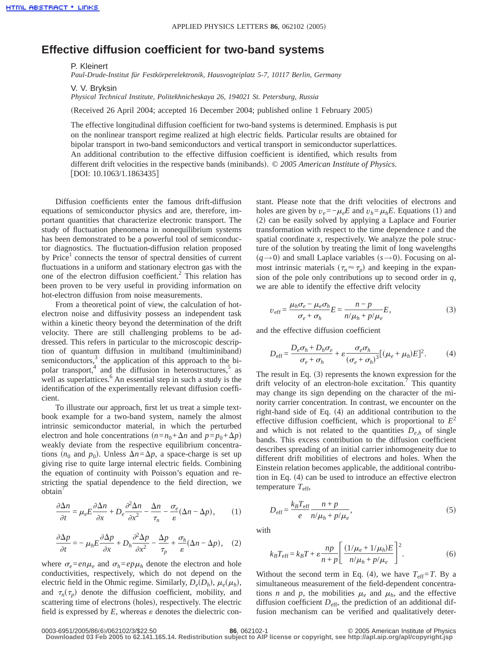## **Effective diffusion coefficient for two-band systems**

P. Kleinert

*Paul-Drude-Institut für Festkörperelektronik, Hausvogteiplatz 5-7, 10117 Berlin, Germany*

V. V. Bryksin

*Physical Technical Institute, Politekhnicheskaya 26, 194021 St. Petersburg, Russia*

(Received 26 April 2004; accepted 16 December 2004; published online 1 February 2005)

The effective longitudinal diffusion coefficient for two-band systems is determined. Emphasis is put on the nonlinear transport regime realized at high electric fields. Particular results are obtained for bipolar transport in two-band semiconductors and vertical transport in semiconductor superlattices. An additional contribution to the effective diffusion coefficient is identified, which results from different drift velocities in the respective bands (minibands). © 2005 American Institute of Physics.  $[DOI: 10.1063/1.1863435]$ 

Diffusion coefficients enter the famous drift-diffusion equations of semiconductor physics and are, therefore, important quantities that characterize electronic transport. The study of fluctuation phenomena in nonequilibrium systems has been demonstrated to be a powerful tool of semiconductor diagnostics. The fluctuation-diffusion relation proposed by Price<sup>1</sup> connects the tensor of spectral densities of current fluctuations in a uniform and stationary electron gas with the one of the electron diffusion coefficient.<sup>2</sup> This relation has been proven to be very useful in providing information on hot-electron diffusion from noise measurements.

From a theoretical point of view, the calculation of hotelectron noise and diffusivity possess an independent task within a kinetic theory beyond the determination of the drift velocity. There are still challenging problems to be addressed. This refers in particular to the microscopic description of quantum diffusion in multiband (multiminiband) semiconductors, $3$  the application of this approach to the bipolar transport, $4$  and the diffusion in heterostructures, $5$  as well as superlattices.<sup> $6$ </sup> An essential step in such a study is the identification of the experimentally relevant diffusion coefficient.

To illustrate our approach, first let us treat a simple textbook example for a two-band system, namely the almost intrinsic semiconductor material, in which the perturbed electron and hole concentrations  $(n=n_0+\Delta n \text{ and } p=p_0+\Delta p)$ weakly deviate from the respective equilibrium concentrations  $(n_0$  and  $p_0$ ). Unless  $\Delta n = \Delta p$ , a space-charge is set up giving rise to quite large internal electric fields. Combining the equation of continuity with Poisson's equation and restricting the spatial dependence to the field direction, we obtain<sup>'</sup>

$$
\frac{\partial \Delta n}{\partial t} = \mu_e E \frac{\partial \Delta n}{\partial x} + D_e \frac{\partial^2 \Delta n}{\partial x^2} - \frac{\Delta n}{\tau_n} - \frac{\sigma_e}{\varepsilon} (\Delta n - \Delta p), \tag{1}
$$

$$
\frac{\partial \Delta p}{\partial t} = -\mu_h E \frac{\partial \Delta p}{\partial x} + D_h \frac{\partial^2 \Delta p}{\partial x^2} - \frac{\Delta p}{\tau_p} + \frac{\sigma_h}{\varepsilon} (\Delta n - \Delta p), \quad (2)
$$

where  $\sigma_e = en\mu_e$  and  $\sigma_h = ep\mu_h$  denote the electron and hole conductivities, respectively, which do not depend on the electric field in the Ohmic regime. Similarly,  $D_e(D_h)$ ,  $\mu_e(\mu_h)$ , and  $\tau_n(\tau_n)$  denote the diffusion coefficient, mobility, and scattering time of electrons (holes), respectively. The electric field is expressed by  $E$ , whereas  $\varepsilon$  denotes the dielectric constant. Please note that the drift velocities of electrons and holes are given by  $v_e = -\mu_e E$  and  $v_h = \mu_h E$ . Equations (1) and  $(2)$  can be easily solved by applying a Laplace and Fourier transformation with respect to the time dependence *t* and the spatial coordinate *x*, respectively. We analyze the pole structure of the solution by treating the limit of long wavelengths  $(q \rightarrow 0)$  and small Laplace variables  $(s \rightarrow 0)$ . Focusing on almost intrinsic materials  $(\tau_n \approx \tau_p)$  and keeping in the expansion of the pole only contributions up to second order in *q*, we are able to identify the effective drift velocity

$$
v_{\text{eff}} = \frac{\mu_h \sigma_e - \mu_e \sigma_h}{\sigma_e + \sigma_h} E = \frac{n - p}{n/\mu_h + p/\mu_e} E,\tag{3}
$$

and the effective diffusion coefficient

$$
D_{\text{eff}} = \frac{D_e \sigma_h + D_h \sigma_e}{\sigma_e + \sigma_h} + \varepsilon \frac{\sigma_e \sigma_h}{(\sigma_e + \sigma_h)^3} [(\mu_e + \mu_h) E]^2.
$$
 (4)

The result in Eq.  $(3)$  represents the known expression for the drift velocity of an electron-hole excitation.<sup>7</sup> This quantity may change its sign depending on the character of the minority carrier concentration. In contrast, we encounter on the right-hand side of Eq.  $(4)$  an additional contribution to the effective diffusion coefficient, which is proportional to  $E^2$ and which is not related to the quantities  $D_{e,h}$  of single bands. This excess contribution to the diffusion coefficient describes spreading of an initial carrier inhomogeneity due to different drift mobilities of electrons and holes. When the Einstein relation becomes applicable, the additional contribution in Eq.  $(4)$  can be used to introduce an effective electron temperature *T*eff,

$$
D_{\text{eff}} = \frac{k_B T_{\text{eff}}}{e} \frac{n + p}{n/\mu_h + p/\mu_e},\tag{5}
$$

with

$$
k_B T_{\text{eff}} = k_B T + \varepsilon \frac{np}{n+p} \left[ \frac{(1/\mu_e + 1/\mu_h)E}{n/\mu_h + p/\mu_e} \right]^2.
$$
 (6)

Without the second term in Eq. (4), we have  $T_{\text{eff}}=T$ . By a simultaneous measurement of the field-dependent concentrations *n* and *p*, the mobilities  $\mu_e$  and  $\mu_h$ , and the effective diffusion coefficient  $D_{\text{eff}}$ , the prediction of an additional diffusion mechanism can be verified and qualitatively deter-

<sup>0003-6951/2005/86(6)/062102/3/\$22.50</sup> **86**, 062102-1 © 2005 American Institute of Physics

**Downloaded 03 Feb 2005 to 62.141.165.14. Redistribution subject to AIP license or copyright, see http://apl.aip.org/apl/copyright.jsp**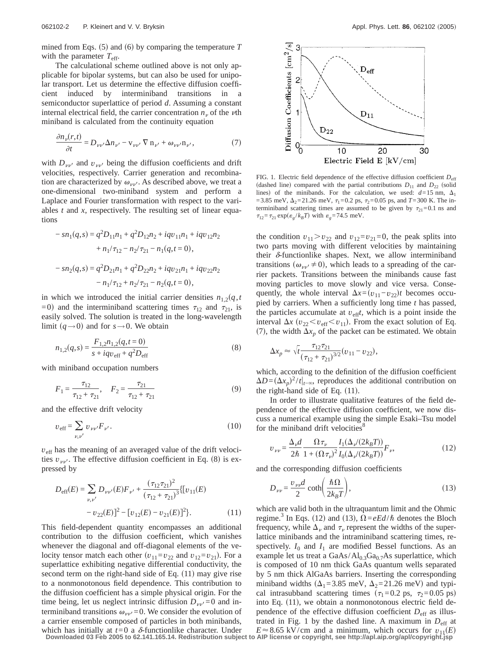mined from Eqs.  $(5)$  and  $(6)$  by comparing the temperature *T* with the parameter  $T_{\text{eff}}$ .

The calculational scheme outlined above is not only applicable for bipolar systems, but can also be used for unipolar transport. Let us determine the effective diffusion coefficient induced by interminiband transitions in a semiconductor superlattice of period *d*. Assuming a constant internal electrical field, the carrier concentration  $n<sub>v</sub>$  of the  $\nu$ th miniband is calculated from the continuity equation

$$
\frac{\partial n_{\nu}(r,t)}{\partial t} = D_{\nu\nu'} \Delta n_{\nu'} - \mathbf{v}_{\nu\nu'} \nabla \mathbf{n}_{\nu'} + \omega_{\nu\nu'} \mathbf{n}_{\nu'}, \tag{7}
$$

with  $D_{\nu\nu}$  and  $v_{\nu\nu}$  being the diffusion coefficients and drift velocities, respectively. Carrier generation and recombination are characterized by  $\omega_{\nu\nu'}$ . As described above, we treat a one-dimensional two-miniband system and perform a Laplace and Fourier transformation with respect to the variables *t* and *x*, respectively. The resulting set of linear equations

$$
- sn_1(q,s) = q^2 D_{11}n_1 + q^2 D_{12}n_2 + iqv_{11}n_1 + iqv_{12}n_2
$$
  
+  $n_1/\tau_{12} - n_2/\tau_{21} - n_1(q,t=0),$   

$$
- sn_2(q,s) = q^2 D_{21}n_1 + q^2 D_{22}n_2 + iqv_{21}n_1 + iqv_{22}n_2
$$
  

$$
- n_1/\tau_{12} + n_2/\tau_{21} - n_2(q,t=0),
$$

in which we introduced the initial carrier densities  $n_{1,2}(q,t)$ =0) and the interminiband scattering times  $\tau_{12}$  and  $\tau_{21}$ , is easily solved. The solution is treated in the long-wavelength limit  $(q \rightarrow 0)$  and for  $s \rightarrow 0$ . We obtain

$$
n_{1,2}(q,s) = \frac{F_{1,2}n_{1,2}(q,t=0)}{s + iqv_{\text{eff}} + q^2 D_{\text{eff}}}
$$
\n(8)

with miniband occupation numbers

$$
F_1 = \frac{\tau_{12}}{\tau_{12} + \tau_{21}}, \quad F_2 = \frac{\tau_{21}}{\tau_{12} + \tau_{21}} \tag{9}
$$

and the effective drift velocity

$$
v_{\text{eff}} = \sum_{\nu, \nu'} v_{\nu\nu'} F_{\nu'}.
$$
 (10)

 $v_{\text{eff}}$  has the meaning of an averaged value of the drift velocities  $v_{\nu\nu'}$ . The effective diffusion coefficient in Eq. (8) is expressed by

$$
D_{\text{eff}}(E) = \sum_{\nu,\nu'} D_{\nu\nu'}(E) F_{\nu'} + \frac{(\tau_{12}\tau_{21})^2}{(\tau_{12} + \tau_{21})^3} \{ [v_{11}(E) - v_{22}(E)]^2 - [v_{12}(E) - v_{21}(E)]^2 \}.
$$
 (11)

This field-dependent quantity encompasses an additional contribution to the diffusion coefficient, which vanishes whenever the diagonal and off-diagonal elements of the velocity tensor match each other  $(v_{11}=v_{22})$  and  $v_{12}=v_{21}$ ). For a superlattice exhibiting negative differential conductivity, the second term on the right-hand side of Eq.  $(11)$  may give rise to a nonmonotonous field dependence. This contribution to the diffusion coefficient has a simple physical origin. For the time being, let us neglect intrinsic diffusion  $D_{vv'}=0$  and interminiband transitions  $\omega_{\nu\nu}$ =0. We consider the evolution of a carrier ensemble composed of particles in both minibands, which has initially at  $t=0$  a  $\delta$ -functionlike character. Under



FIG. 1. Electric field dependence of the effective diffusion coefficient  $D<sub>eff</sub>$ (dashed line) compared with the partial contributions  $D_{11}$  and  $D_{22}$  (solid lines) of the minibands. For the calculation, we used:  $d=15$  nm,  $\Delta_1$ =3.85 meV,  $\Delta_2$ =21.26 meV,  $\tau_1$ =0.2 ps,  $\tau_2$ =0.05 ps, and *T*=300 K. The interminiband scattering times are assumed to be given by  $\tau_{21}=0.1$  ns and  $\tau_{12} = \tau_{21} \exp(\epsilon_g / k_B T)$  with  $\epsilon_g = 74.5$  meV.

the condition  $v_{11} > v_{22}$  and  $v_{12} = v_{21} = 0$ , the peak splits into two parts moving with different velocities by maintaining their  $\delta$ -functionlike shapes. Next, we allow interminiband transitions ( $\omega_{\nu\nu} \neq 0$ ), which leads to a spreading of the carrier packets. Transitions between the minibands cause fast moving particles to move slowly and vice versa. Consequently, the whole interval  $\Delta x = (v_{11} - v_{22})t$  becomes occupied by carriers. When a sufficiently long time *t* has passed, the particles accumulate at  $v_{\text{eff}}t$ , which is a point inside the interval  $\Delta x$  ( $v_{22} < v_{\text{eff}} < v_{11}$ ). From the exact solution of Eq. (7), the width  $\Delta x_p$  of the packet can be estimated. We obtain

$$
\Delta x_p \approx \sqrt{t \frac{\tau_{12}\tau_{21}}{(\tau_{12} + \tau_{21})^{3/2}}}(v_{11} - v_{22}),
$$

which, according to the definition of the diffusion coefficient  $\Delta D = (\Delta x_p)^2 / t |_{t=\infty}$ , reproduces the additional contribution on the right-hand side of Eq.  $(11)$ .

In order to illustrate qualitative features of the field dependence of the effective diffusion coefficient, we now discuss a numerical example using the simple Esaki–Tsu model for the miniband drift velocities<sup>8</sup>

$$
v_{\nu\nu} = \frac{\Delta_{\nu}d}{2\hbar} \frac{\Omega \tau_{\nu}}{1 + (\Omega \tau_{\nu})^2} \frac{I_1(\Delta_{\nu}/(2k_B T))}{I_0(\Delta_{\nu}/(2k_B T))} F_{\nu},\tag{12}
$$

and the corresponding diffusion coefficients

$$
D_{\nu\nu} = \frac{v_{\nu\nu}d}{2} \coth\left(\frac{\hbar\Omega}{2k_BT}\right),\tag{13}
$$

which are valid both in the ultraquantum limit and the Ohmic regime.<sup>3</sup> In Eqs. (12) and (13),  $\Omega = eEd/\hbar$  denotes the Bloch frequency, while  $\Delta_{\nu}$  and  $\tau_{\nu}$  represent the widths of the superlattice minibands and the intraminiband scattering times, respectively.  $I_0$  and  $I_1$  are modified Bessel functions. As an example let us treat a  $GaAs/Al<sub>0.3</sub>Ga<sub>0.7</sub>As superlattice, which$ is composed of 10 nm thick GaAs quantum wells separated by 5 nm thick AlGaAs barriers. Inserting the corresponding miniband widths  $(\Delta_1=3.85 \text{ meV}, \Delta_2=21.26 \text{ meV})$  and typical intrasubband scattering times  $(\tau_1=0.2 \text{ ps}, \tau_2=0.05 \text{ ps})$ into Eq.  $(11)$ , we obtain a nonmonotonous electric field dependence of the effective diffusion coefficient  $D_{\text{eff}}$  as illustrated in Fig. 1 by the dashed line. A maximum in  $D_{\text{eff}}$  at  $E \approx 8.65$  kV/cm and a minimum, which occurs for  $v_{11}(E)$ 

**Downloaded 03 Feb 2005 to 62.141.165.14. Redistribution subject to AIP license or copyright, see http://apl.aip.org/apl/copyright.jsp**